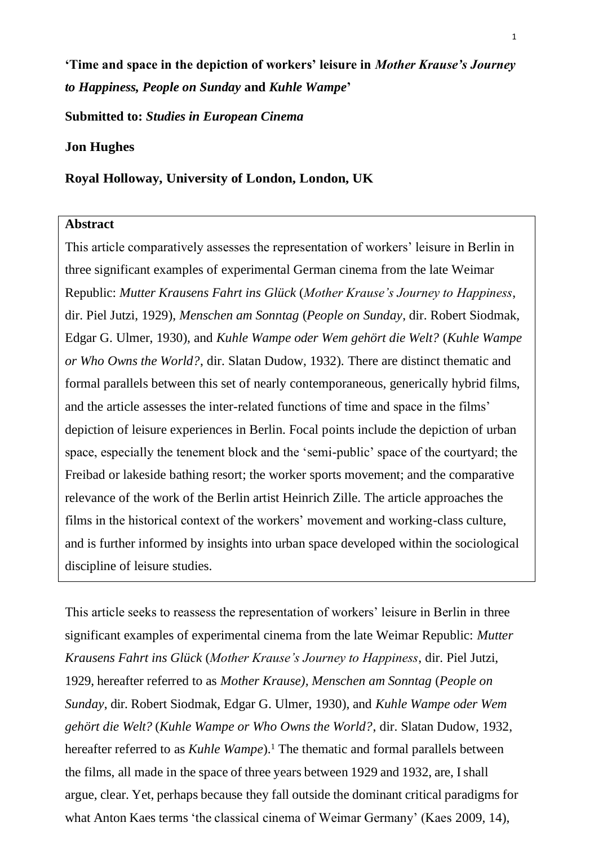**'Time and space in the depiction of workers' leisure in** *Mother Krause's Journey to Happiness, People on Sunday* **and** *Kuhle Wampe***'**

**Submitted to:** *Studies in European Cinema*

## **Jon Hughes**

## **Royal Holloway, University of London, London, UK**

### **Abstract**

This article comparatively assesses the representation of workers' leisure in Berlin in three significant examples of experimental German cinema from the late Weimar Republic: *Mutter Krausens Fahrt ins Glück* (*Mother Krause's Journey to Happiness*, dir. Piel Jutzi, 1929), *Menschen am Sonntag* (*People on Sunday*, dir. Robert Siodmak, Edgar G. Ulmer, 1930), and *Kuhle Wampe oder Wem gehört die Welt?* (*Kuhle Wampe or Who Owns the World?*, dir. Slatan Dudow, 1932). There are distinct thematic and formal parallels between this set of nearly contemporaneous, generically hybrid films, and the article assesses the inter-related functions of time and space in the films' depiction of leisure experiences in Berlin. Focal points include the depiction of urban space, especially the tenement block and the 'semi-public' space of the courtyard; the Freibad or lakeside bathing resort; the worker sports movement; and the comparative relevance of the work of the Berlin artist Heinrich Zille. The article approaches the films in the historical context of the workers' movement and working-class culture, and is further informed by insights into urban space developed within the sociological discipline of leisure studies.

<span id="page-0-0"></span>This article seeks to reassess the representation of workers' leisure in Berlin in three significant examples of experimental cinema from the late Weimar Republic: *Mutter Krausens Fahrt ins Glück* (*Mother Krause's Journey to Happiness*, dir. Piel Jutzi, 1929, hereafter referred to as *Mother Krause), Menschen am Sonntag* (*People on Sunday*, dir. Robert Siodmak, Edgar G. Ulmer, 1930), and *Kuhle Wampe oder Wem gehört die Welt?* (*Kuhle Wampe or Who Owns the World?*, dir. Slatan Dudow, 1932, hereafter referred to as *Kuhle Wampe*).<sup>1</sup> [T](#page-23-0)he thematic and formal parallels between the films, all made in the space of three years between 1929 and 1932, are, Ishall argue, clear. Yet, perhaps because they fall outside the dominant critical paradigms for what Anton Kaes terms 'the classical cinema of Weimar Germany' (Kaes [2009,](#page-26-0) 14),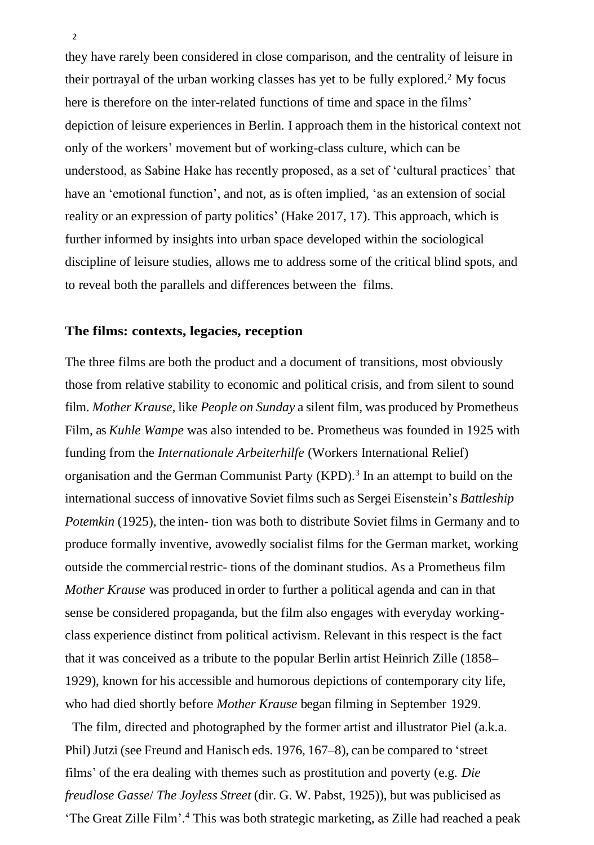<span id="page-1-1"></span>they have rarely been considered in close comparison, and the centrality of leisure in their portrayal of the urban working classes has yet to be fully explored.<sup>2</sup> [M](#page-23-0)y focus here is therefore on the inter-related functions of time and space in the films' depiction of leisure experiences in Berlin. I approach them in the historical context not only of the workers' movement but of working-class culture, which can be understood, as Sabine Hake has recently proposed, as a set of 'cultural practices' that have an 'emotional function', and not, as is often implied, 'as an extension of social reality or an expression of party politics' (Hake [2017,](#page-26-1) 17). This approach, which is further informed by insights into urban space developed within the sociological discipline of leisure studies, allows me to address some of the critical blind spots, and to reveal both the parallels and differences between the films.

### **The films: contexts, legacies, reception**

The three films are both the product and a document of transitions, most obviously those from relative stability to economic and political crisis, and from silent to sound film. *Mother Krause*, like *People on Sunday* a silent film, was produced by Prometheus Film, as *Kuhle Wampe* was also intended to be. Prometheus was founded in 1925 with funding from the *Internationale Arbeiterhilfe* (Workers International Relief) organisation and the German Communist Party (KPD)[.](#page-23-1)<sup>3</sup> In an attempt to build on the international success of innovative Soviet films such as Sergei Eisenstein's *Battleship Potemkin* (1925), the inten-tion was both to distribute Soviet films in Germany and to produce formally inventive, avowedly socialist films for the German market, working outside the commercial restric- tions of the dominant studios. As a Prometheus film *Mother Krause* was produced in order to further a political agenda and can in that sense be considered propaganda, but the film also engages with everyday workingclass experience distinct from political activism. Relevant in this respect is the fact that it was conceived as a tribute to the popular Berlin artist Heinrich Zille (1858– 1929), known for his accessible and humorous depictions of contemporary city life, who had died shortly before *Mother Krause* began filming in September 1929.

<span id="page-1-0"></span>The film, directed and photographed by the former artist and illustrator Piel (a.k.a. Phil)Jutzi (see Freund and Hanisch eds. [1976,](#page-26-2) 167–8), can be compared to 'street films' of the era dealing with themes such as prostitution and poverty (e.g. *Die freudlose Gasse*/ *The Joyless Street* (dir. G. W. Pabst, 1925)), but was publicised as 'The Great Zille Film'.[4](#page-23-2) This was both strategic marketing, as Zille had reached a peak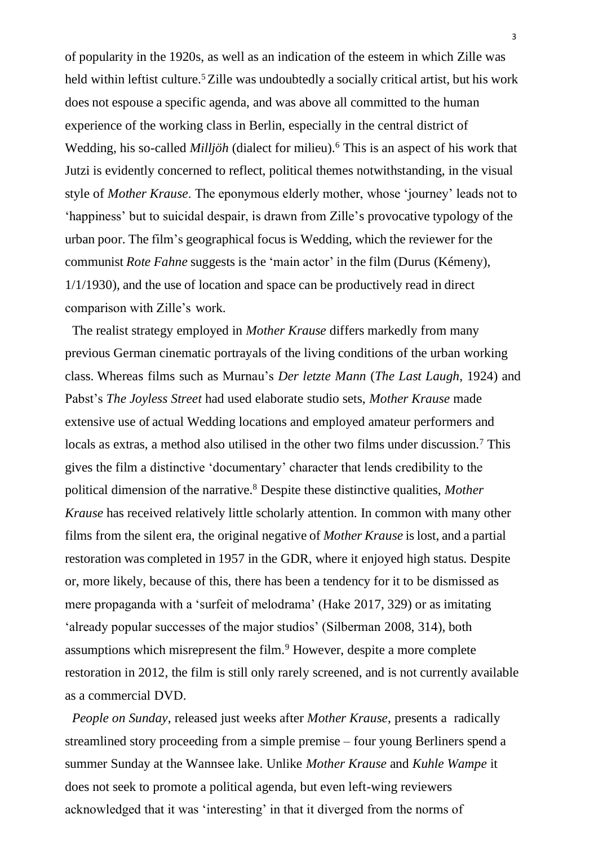of popularity in the 1920s, as well as an indication of the esteem in which Zille was held within leftist culture.<sup>5</sup> [Z](#page-23-3)ille was undoubtedly a socially critical artist, but his work does not espouse a specific agenda, and was above all committed to the human experience of the working class in Berlin, especially in the central district of Wedding, his so-called *Milljöh* (dialect for milieu).<sup>[6](#page-23-4)</sup> This is an aspect of his work that Jutzi is evidently concerned to reflect, political themes notwithstanding, in the visual style of *Mother Krause*. The eponymous elderly mother, whose 'journey' leads not to 'happiness' but to suicidal despair, is drawn from Zille's provocative typology of the urban poor. The film's geographical focus is Wedding, which the reviewer for the communist *Rote Fahne* suggests is the 'main actor' in the film (Durus (Kémeny), 1/1[/1930\)](#page-26-3), and the use of location and space can be productively read in direct comparison with Zille's work.

<span id="page-2-1"></span>The realist strategy employed in *Mother Krause* differs markedly from many previous German cinematic portrayals of the living conditions of the urban working class. Whereas films such as Murnau's *Der letzte Mann* (*The Last Laugh*, 1924) and Pabst's *The Joyless Street* had used elaborate studio sets, *Mother Krause* made extensive use of actual Wedding locations and employed amateur performers and locals as extras, a method also utilised in the other two films under discussion.<sup>[7](#page-23-5)</sup> This gives the film a distinctive 'documentary' character that lends credibility to the political dimension of the narrative.<sup>8</sup> [D](#page-23-6)espite these distinctive qualities, *Mother Krause* has received relatively little scholarly attention. In common with many other films from the silent era, the original negative of *Mother Krause* islost, and a partial restoration was completed in 1957 in the GDR, where it enjoyed high status. Despite or, more likely, because of this, there has been a tendency for it to be dismissed as mere propaganda with a 'surfeit of melodrama' (Hake [2017,](#page-26-1) 329) or as imitating 'already popular successes of the major studios' (Silberman [2008,](#page-28-0) 314), both assumptions which misrepresent the film.<sup>[9](#page-23-7)</sup> However, despite a more complete restoration in 2012, the film is still only rarely screened, and is not currently available as a commercial DVD.

<span id="page-2-0"></span>*People on Sunday*, released just weeks after *Mother Krause*, presents a radically streamlined story proceeding from a simple premise – four young Berliners spend a summer Sunday at the Wannsee lake. Unlike *Mother Krause* and *Kuhle Wampe* it does not seek to promote a political agenda, but even left-wing reviewers acknowledged that it was 'interesting' in that it diverged from the norms of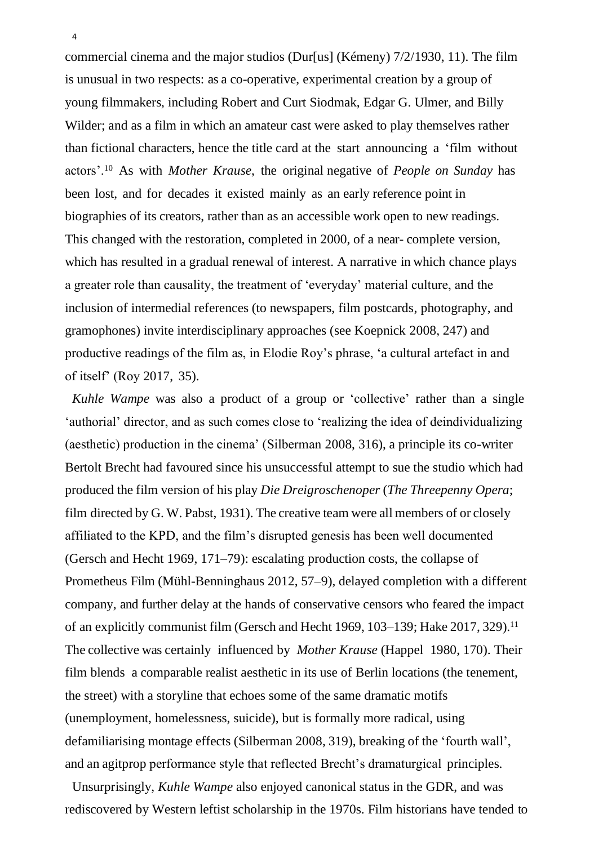commercial cinema and the major studios (Dur[us] (Kémeny) 7/2[/1930,](#page-26-4) 11). The film is unusual in two respects: as a co-operative, experimental creation by a group of young filmmakers, including Robert and Curt Siodmak, Edgar G. Ulmer, and Billy Wilder; and as a film in which an amateur cast were asked to play themselves rather than fictional characters, hence the title card at the start announcing a 'film without actors'.[10](#page-24-0) As with *Mother Krause*, the original negative of *People on Sunday* has been lost, and for decades it existed mainly as an early reference point in biographies of its creators, rather than as an accessible work open to new readings. This changed with the restoration, completed in 2000, of a near- complete version, which has resulted in a gradual renewal of interest. A narrative in which chance plays a greater role than causality, the treatment of 'everyday' material culture, and the inclusion of intermedial references (to newspapers, film postcards, photography, and gramophones) invite interdisciplinary approaches (see Koepnick [2008,](#page-27-0) 247) and productive readings of the film as, in Elodie Roy's phrase, 'a cultural artefact in and of itself' (Roy [2017,](#page-27-1) 35).

<span id="page-3-5"></span><span id="page-3-4"></span><span id="page-3-3"></span>*Kuhle Wampe* was also a product of a group or 'collective' rather than a single 'authorial' director, and as such comes close to 'realizing the idea of deindividualizing (aesthetic) production in the cinema' (Silberman [2008,](#page-28-0) 316), a principle its co-writer Bertolt Brecht had favoured since his unsuccessful attempt to sue the studio which had produced the film version of his play *Die Dreigroschenoper* (*The Threepenny Opera*; film directed by G. W. Pabst, 1931). The creative team were all members of or closely affiliated to the KPD, and the film's disrupted genesis has been well documented (Gersch and Hecht [1969,](#page-26-5) 171–79): escalating production costs, the collapse of Prometheus Film (Mühl-Benninghaus [2012,](#page-27-2) 57–9), delayed completion with a different company, and further delay at the hands of conservative censors who feared the impact of an explicitly communist film (Gersch and Hecht [1969,](#page-26-5) 103–139; Hake [2017,](#page-26-1) 329).[11](#page-24-1) The collective was certainly influenced by *Mother Krause* (Happel 1980, 170). Their film blends a comparable realist aesthetic in its use of Berlin locations (the tenement, the street) with a storyline that echoes some of the same dramatic motifs (unemployment, homelessness, suicide), but is formally more radical, using defamiliarising montage effects (Silberman [2008,](#page-28-0) 319), breaking of the 'fourth wall', and an agitprop performance style that reflected Brecht's dramaturgical principles.

<span id="page-3-2"></span><span id="page-3-1"></span><span id="page-3-0"></span>Unsurprisingly, *Kuhle Wampe* also enjoyed canonical status in the GDR, and was rediscovered by Western leftist scholarship in the 1970s. Film historians have tended to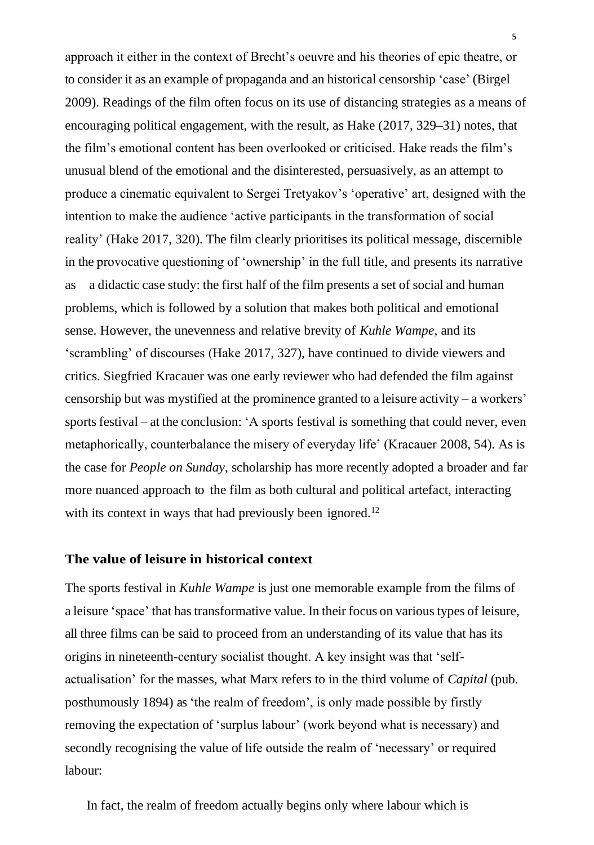approach it either in the context of Brecht's oeuvre and his theories of epic theatre, or to consider it as an example of propaganda and an historical censorship 'case' (Birgel [2009\)](#page-25-0). Readings of the film often focus on its use of distancing strategies as a means of encouraging political engagement, with the result, as Hake [\(2017,](#page-26-1) 329–31) notes, that the film's emotional content has been overlooked or criticised. Hake reads the film's unusual blend of the emotional and the disinterested, persuasively, as an attempt to produce a cinematic equivalent to Sergei Tretyakov's 'operative' art, designed with the intention to make the audience 'active participants in the transformation of social reality' (Hake [2017,](#page-26-1) 320). The film clearly prioritises its political message, discernible in the provocative questioning of 'ownership' in the full title, and presents its narrative as a didactic case study: the first half of the film presents a set of social and human problems, which is followed by a solution that makes both political and emotional sense. However, the unevenness and relative brevity of *Kuhle Wampe*, and its 'scrambling' of discourses (Hake [2017,](#page-26-1) 327), have continued to divide viewers and critics. Siegfried Kracauer was one early reviewer who had defended the film against censorship but was mystified at the prominence granted to a leisure activity – a workers' sports festival – at the conclusion: 'A sports festival is something that could never, even metaphorically, counterbalance the misery of everyday life' (Kracauer [2008,](#page-27-3) 54). As is the case for *People on Sunday*, scholarship has more recently adopted a broader and far more nuanced approach to the film as both cultural and political artefact, interacting with its context in ways that had previously been ignored.<sup>[12](#page-24-2)</sup>

## <span id="page-4-0"></span>**The value of leisure in historical context**

The sports festival in *Kuhle Wampe* is just one memorable example from the films of a leisure 'space' that has transformative value. In their focus on various types of leisure, all three films can be said to proceed from an understanding of its value that has its origins in nineteenth-century socialist thought. A key insight was that 'selfactualisation' for the masses, what Marx refers to in the third volume of *Capital* (pub. posthumously 1894) as 'the realm of freedom', is only made possible by firstly removing the expectation of 'surplus labour' (work beyond what is necessary) and secondly recognising the value of life outside the realm of 'necessary' or required labour: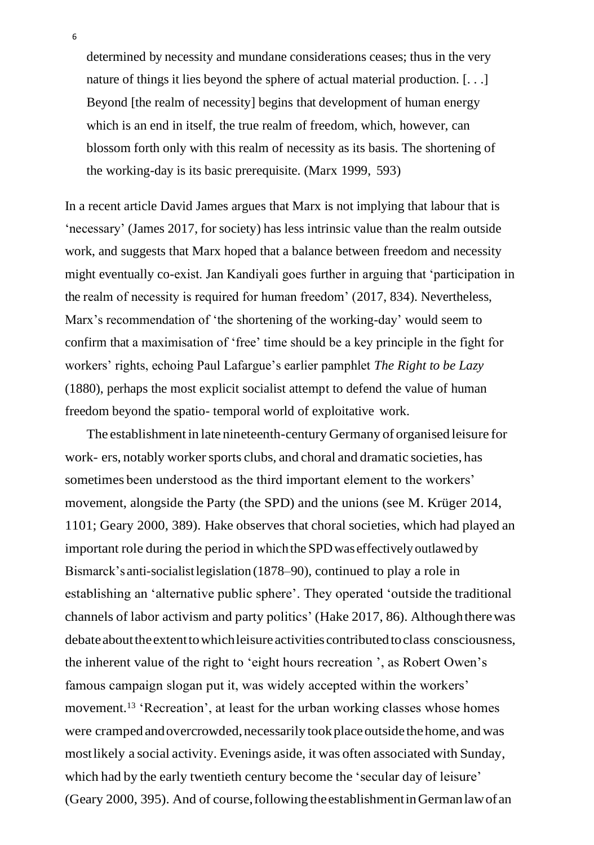<span id="page-5-4"></span>determined by necessity and mundane considerations ceases; thus in the very nature of things it lies beyond the sphere of actual material production. [...] Beyond [the realm of necessity] begins that development of human energy which is an end in itself, the true realm of freedom, which, however, can blossom forth only with this realm of necessity as its basis. The shortening of the working-day is its basic prerequisite. (Marx [1999,](#page-27-4) 593)

<span id="page-5-2"></span><span id="page-5-1"></span>In a recent article David James argues that Marx is not implying that labour that is 'necessary' (James [2017,](#page-26-6) for society) has less intrinsic value than the realm outside work, and suggests that Marx hoped that a balance between freedom and necessity might eventually co-exist. Jan Kandiyali goes further in arguing that 'participation in the realm of necessity is required for human freedom' [\(2017,](#page-27-5) 834). Nevertheless, Marx's recommendation of 'the shortening of the working-day' would seem to confirm that a maximisation of 'free' time should be a key principle in the fight for workers' rights, echoing Paul Lafargue's earlier pamphlet *The Right to be Lazy*  (1880), perhaps the most explicit socialist attempt to defend the value of human freedom beyond the spatio- temporal world of exploitative work.

<span id="page-5-3"></span><span id="page-5-0"></span>The establishment in late nineteenth-century Germany of organised leisure for work- ers, notably worker sports clubs, and choral and dramatic societies, has sometimes been understood as the third important element to the workers' movement, alongside the Party (the SPD) and the unions (see M. Krüger [2014,](#page-27-6) 1101; Geary [2000,](#page-26-7) 389). Hake observes that choral societies, which had played an important role during the period in whichthe SPDwas effectivelyoutlawed by Bismarck's anti-socialistlegislation (1878–90), continued to play a role in establishing an 'alternative public sphere'. They operated 'outside the traditional channels of labor activism and party politics' (Hake [2017,](#page-26-1) 86). Althoughtherewas debate about the extent to which leisure activities contributed to class consciousness, the inherent value of the right to 'eight hours recreation ', as Robert Owen's famous campaign slogan put it, was widely accepted within the workers' movement.<sup>[13](#page-24-3)</sup> 'Recreation', at least for the urban working classes whose homes were cramped and overcrowded, necessarily took place outside the home, and was mostlikely a social activity. Evenings aside, it was often associated with Sunday, which had by the early twentieth century become the 'secular day of leisure' (Geary [2000,](#page-26-7) 395). And of course,following theestablishmentinGermanlawofan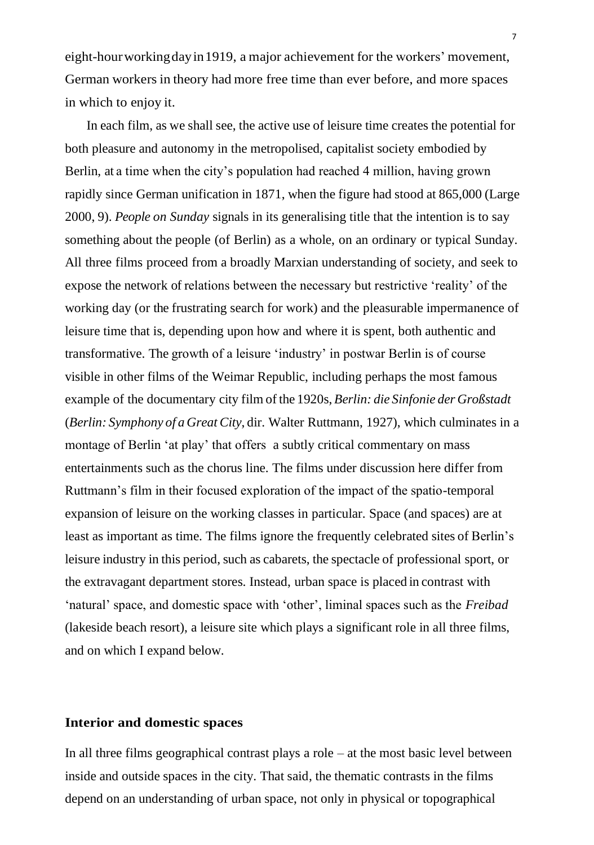eight-hourworkingdayin1919, a major achievement for the workers' movement, German workers in theory had more free time than ever before, and more spaces in which to enjoy it.

<span id="page-6-0"></span>In each film, as we shall see, the active use of leisure time creates the potential for both pleasure and autonomy in the metropolised, capitalist society embodied by Berlin, at a time when the city's population had reached 4 million, having grown rapidly since German unification in 1871, when the figure had stood at 865,000 (Large [2000,](#page-27-7) 9). *People on Sunday* signals in its generalising title that the intention is to say something about the people (of Berlin) as a whole, on an ordinary or typical Sunday. All three films proceed from a broadly Marxian understanding of society, and seek to expose the network of relations between the necessary but restrictive 'reality' of the working day (or the frustrating search for work) and the pleasurable impermanence of leisure time that is, depending upon how and where it is spent, both authentic and transformative. The growth of a leisure 'industry' in postwar Berlin is of course visible in other films of the Weimar Republic, including perhaps the most famous example of the documentary city film of the 1920s, *Berlin: die Sinfonie der Großstadt* (*Berlin: Symphony of a GreatCity*, dir. Walter Ruttmann, 1927), which culminates in a montage of Berlin 'at play' that offers a subtly critical commentary on mass entertainments such as the chorus line. The films under discussion here differ from Ruttmann's film in their focused exploration of the impact of the spatio-temporal expansion of leisure on the working classes in particular. Space (and spaces) are at least as important as time. The films ignore the frequently celebrated sites of Berlin's leisure industry in this period, such as cabarets, the spectacle of professional sport, or the extravagant department stores. Instead, urban space is placed in contrast with 'natural' space, and domestic space with 'other', liminal spaces such as the *Freibad*  (lakeside beach resort), a leisure site which plays a significant role in all three films, and on which I expand below.

# **Interior and domestic spaces**

In all three films geographical contrast plays a role  $-$  at the most basic level between inside and outside spaces in the city. That said, the thematic contrasts in the films depend on an understanding of urban space, not only in physical or topographical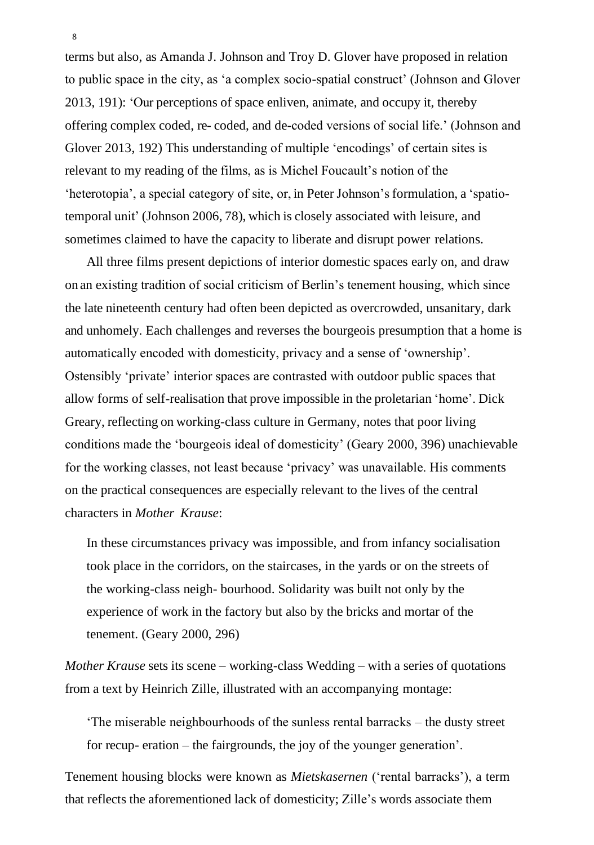<span id="page-7-0"></span>terms but also, as Amanda J. Johnson and Troy D. Glover have proposed in relation to public space in the city, as 'a complex socio-spatial construct' (Johnson and Glover [2013,](#page-26-8) 191): 'Our perceptions of space enliven, animate, and occupy it, thereby offering complex coded, re- coded, and de-coded versions of social life.' (Johnson and Glover [2013,](#page-26-8) 192) This understanding of multiple 'encodings' of certain sites is relevant to my reading of the films, as is Michel Foucault's notion of the 'heterotopia', a special category of site, or, in Peter Johnson's formulation, a 'spatiotemporal unit' (Johnson [2006,](#page-26-9) 78), which is closely associated with leisure, and sometimes claimed to have the capacity to liberate and disrupt power relations.

<span id="page-7-1"></span>All three films present depictions of interior domestic spaces early on, and draw on an existing tradition of social criticism of Berlin's tenement housing, which since the late nineteenth century had often been depicted as overcrowded, unsanitary, dark and unhomely. Each challenges and reverses the bourgeois presumption that a home is automatically encoded with domesticity, privacy and a sense of 'ownership'. Ostensibly 'private' interior spaces are contrasted with outdoor public spaces that allow forms of self-realisation that prove impossible in the proletarian 'home'. Dick Greary, reflecting on working-class culture in Germany, notes that poor living conditions made the 'bourgeois ideal of domesticity' (Geary [2000,](#page-26-7) 396) unachievable for the working classes, not least because 'privacy' was unavailable. His comments on the practical consequences are especially relevant to the lives of the central characters in *Mother Krause*:

In these circumstances privacy was impossible, and from infancy socialisation took place in the corridors, on the staircases, in the yards or on the streets of the working-class neigh- bourhood. Solidarity was built not only by the experience of work in the factory but also by the bricks and mortar of the tenement. (Geary [2000,](#page-26-7) 296)

*Mother Krause* sets its scene – working-class Wedding – with a series of quotations from a text by Heinrich Zille, illustrated with an accompanying montage:

'The miserable neighbourhoods of the sunless rental barracks – the dusty street for recup- eration – the fairgrounds, the joy of the younger generation'.

Tenement housing blocks were known as *Mietskasernen* ('rental barracks'), a term that reflects the aforementioned lack of domesticity; Zille's words associate them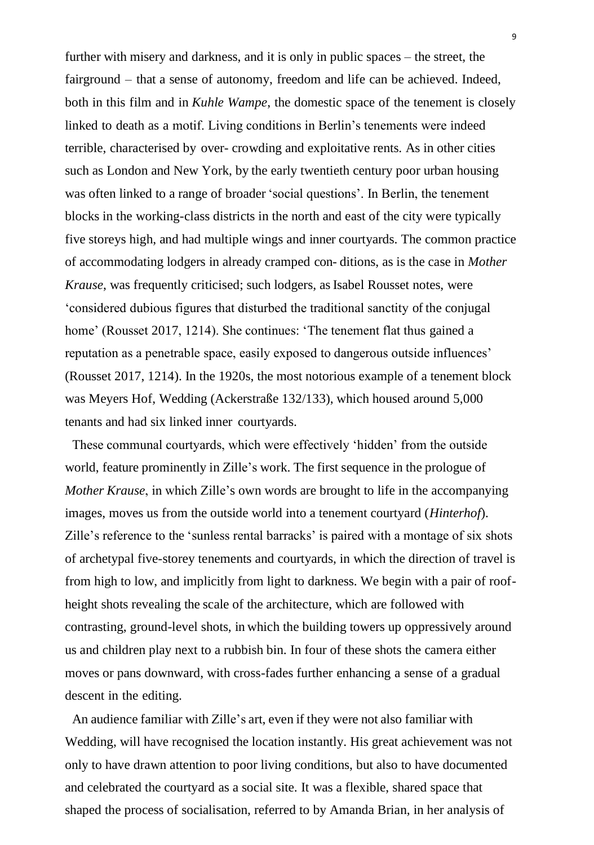further with misery and darkness, and it is only in public spaces – the street, the fairground – that a sense of autonomy, freedom and life can be achieved. Indeed, both in this film and in *Kuhle Wampe*, the domestic space of the tenement is closely linked to death as a motif. Living conditions in Berlin's tenements were indeed terrible, characterised by over- crowding and exploitative rents. As in other cities such as London and New York, by the early twentieth century poor urban housing was often linked to a range of broader 'social questions'. In Berlin, the tenement blocks in the working-class districts in the north and east of the city were typically five storeys high, and had multiple wings and inner courtyards. The common practice of accommodating lodgers in already cramped con- ditions, as is the case in *Mother Krause*, was frequently criticised; such lodgers, as Isabel Rousset notes, were 'considered dubious figures that disturbed the traditional sanctity of the conjugal home' (Rousset [2017,](#page-27-8) 1214). She continues: 'The tenement flat thus gained a reputation as a penetrable space, easily exposed to dangerous outside influences' (Rousset [2017,](#page-27-8) 1214). In the 1920s, the most notorious example of a tenement block was Meyers Hof, Wedding (Ackerstraße 132/133), which housed around 5,000 tenants and had six linked inner courtyards.

<span id="page-8-0"></span>These communal courtyards, which were effectively 'hidden' from the outside world, feature prominently in Zille's work. The first sequence in the prologue of *Mother Krause*, in which Zille's own words are brought to life in the accompanying images, moves us from the outside world into a tenement courtyard (*Hinterhof*). Zille's reference to the 'sunless rental barracks' is paired with a montage of six shots of archetypal five-storey tenements and courtyards, in which the direction of travel is from high to low, and implicitly from light to darkness. We begin with a pair of roofheight shots revealing the scale of the architecture, which are followed with contrasting, ground-level shots, in which the building towers up oppressively around us and children play next to a rubbish bin. In four of these shots the camera either moves or pans downward, with cross-fades further enhancing a sense of a gradual descent in the editing.

An audience familiar with Zille's art, even if they were not also familiar with Wedding, will have recognised the location instantly. His great achievement was not only to have drawn attention to poor living conditions, but also to have documented and celebrated the courtyard as a social site. It was a flexible, shared space that shaped the process of socialisation, referred to by Amanda Brian, in her analysis of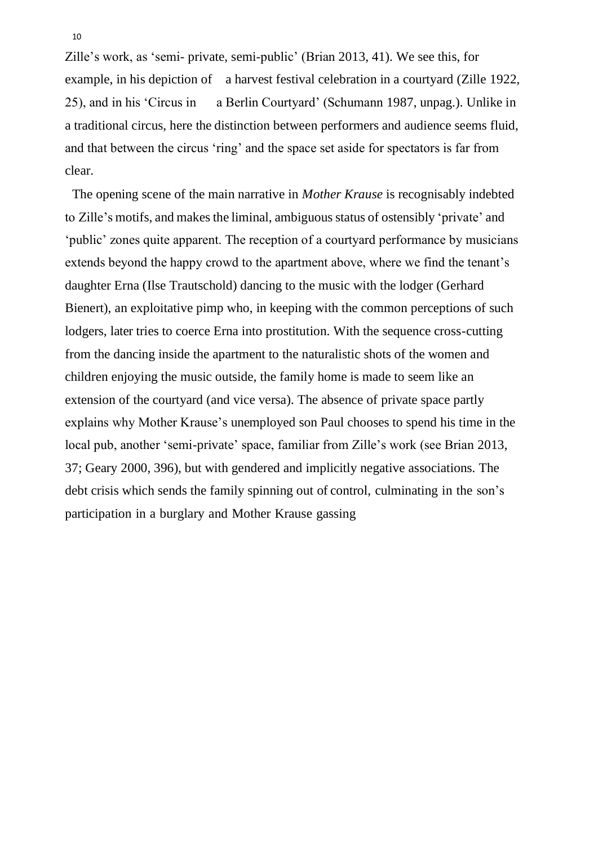<span id="page-9-1"></span>Zille's work, as 'semi- private, semi-public' (Brian [2013,](#page-25-1) 41). We see this, for example, in his depiction of a harvest festival celebration in a courtyard (Zille [1922,](#page-28-1) 25), and in his 'Circus in a Berlin Courtyard' (Schumann [1987,](#page-28-2) unpag.). Unlike in a traditional circus, here the distinction between performers and audience seems fluid, and that between the circus 'ring' and the space set aside for spectators is far from clear.

<span id="page-9-0"></span>The opening scene of the main narrative in *Mother Krause* is recognisably indebted to Zille's motifs, and makes the liminal, ambiguous status of ostensibly 'private' and 'public' zones quite apparent. The reception of a courtyard performance by musicians extends beyond the happy crowd to the apartment above, where we find the tenant's daughter Erna (Ilse Trautschold) dancing to the music with the lodger (Gerhard Bienert), an exploitative pimp who, in keeping with the common perceptions of such lodgers, later tries to coerce Erna into prostitution. With the sequence cross-cutting from the dancing inside the apartment to the naturalistic shots of the women and children enjoying the music outside, the family home is made to seem like an extension of the courtyard (and vice versa). The absence of private space partly explains why Mother Krause's unemployed son Paul chooses to spend his time in the local pub, another 'semi-private' space, familiar from Zille's work (see Brian [2013,](#page-25-1) 37; Geary [2000,](#page-26-7) 396), but with gendered and implicitly negative associations. The debt crisis which sends the family spinning out of control, culminating in the son's participation in a burglary and Mother Krause gassing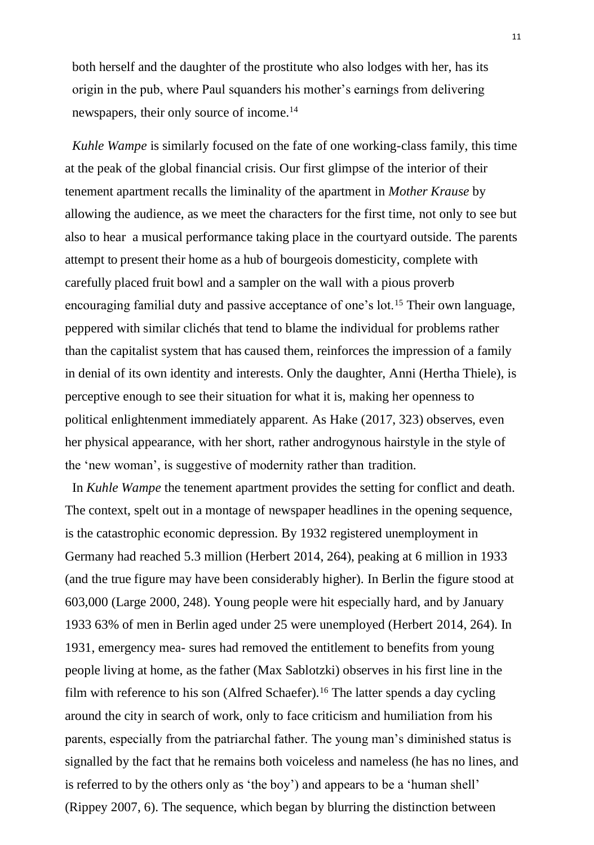both herself and the daughter of the prostitute who also lodges with her, has its origin in the pub, where Paul squanders his mother's earnings from delivering newspapers, their only source of income.[14](#page-24-4)

*Kuhle Wampe* is similarly focused on the fate of one working-class family, this time at the peak of the global financial crisis. Our first glimpse of the interior of their tenement apartment recalls the liminality of the apartment in *Mother Krause* by allowing the audience, as we meet the characters for the first time, not only to see but also to hear a musical performance taking place in the courtyard outside. The parents attempt to present their home as a hub of bourgeois domesticity, complete with carefully placed fruit bowl and a sampler on the wall with a pious proverb encouraging familial duty and passive acceptance of one's lot.[15](#page-24-5) Their own language, peppered with similar clichés that tend to blame the individual for problems rather than the capitalist system that has caused them, reinforces the impression of a family in denial of its own identity and interests. Only the daughter, Anni (Hertha Thiele), is perceptive enough to see their situation for what it is, making her openness to political enlightenment immediately apparent. As Hake [\(2017,](#page-26-1) 323) observes, even her physical appearance, with her short, rather androgynous hairstyle in the style of the 'new woman', is suggestive of modernity rather than tradition.

<span id="page-10-1"></span><span id="page-10-0"></span>In *Kuhle Wampe* the tenement apartment provides the setting for conflict and death. The context, spelt out in a montage of newspaper headlines in the opening sequence, is the catastrophic economic depression. By 1932 registered unemployment in Germany had reached 5.3 million (Herbert [2014,](#page-26-10) 264), peaking at 6 million in 1933 (and the true figure may have been considerably higher). In Berlin the figure stood at 603,000 (Large [2000,](#page-27-7) 248). Young people were hit especially hard, and by January 1933 63% of men in Berlin aged under 25 were unemployed (Herbert [2014,](#page-26-10) 264). In 1931, emergency mea- sures had removed the entitlement to benefits from young people living at home, as the father (Max Sablotzki) observes in his first line in the film with reference to his son (Alfred Schaefer).[16](#page-24-6) The latter spends a day cycling around the city in search of work, only to face criticism and humiliation from his parents, especially from the patriarchal father. The young man's diminished status is signalled by the fact that he remains both voiceless and nameless (he has no lines, and is referred to by the others only as 'the boy') and appears to be a 'human shell' (Rippey [2007,](#page-27-9) 6). The sequence, which began by blurring the distinction between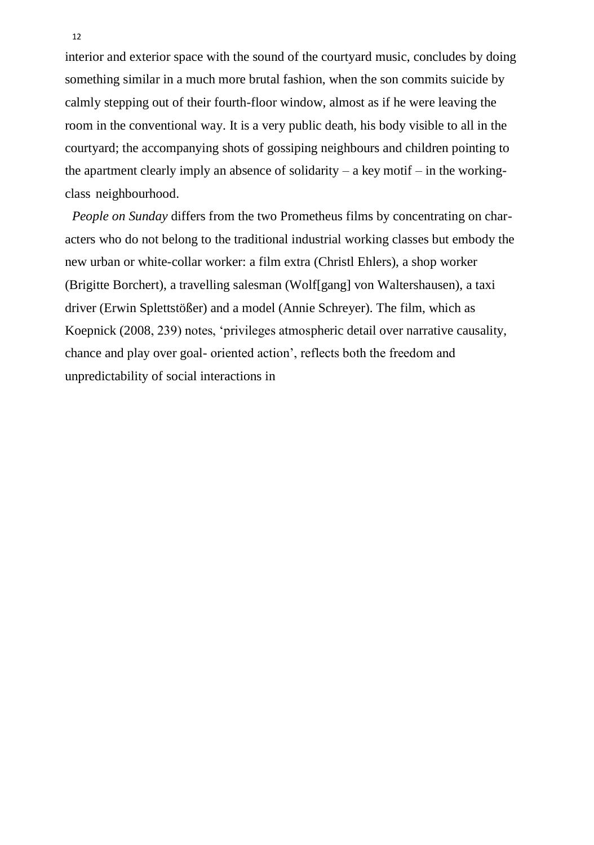interior and exterior space with the sound of the courtyard music, concludes by doing something similar in a much more brutal fashion, when the son commits suicide by calmly stepping out of their fourth-floor window, almost as if he were leaving the room in the conventional way. It is a very public death, his body visible to all in the courtyard; the accompanying shots of gossiping neighbours and children pointing to the apartment clearly imply an absence of solidarity – a key motif – in the workingclass neighbourhood.

*People on Sunday* differs from the two Prometheus films by concentrating on characters who do not belong to the traditional industrial working classes but embody the new urban or white-collar worker: a film extra (Christl Ehlers), a shop worker (Brigitte Borchert), a travelling salesman (Wolf[gang] von Waltershausen), a taxi driver (Erwin Splettstößer) and a model (Annie Schreyer). The film, which as Koepnick [\(2008,](#page-27-0) 239) notes, 'privileges atmospheric detail over narrative causality, chance and play over goal- oriented action', reflects both the freedom and unpredictability of social interactions in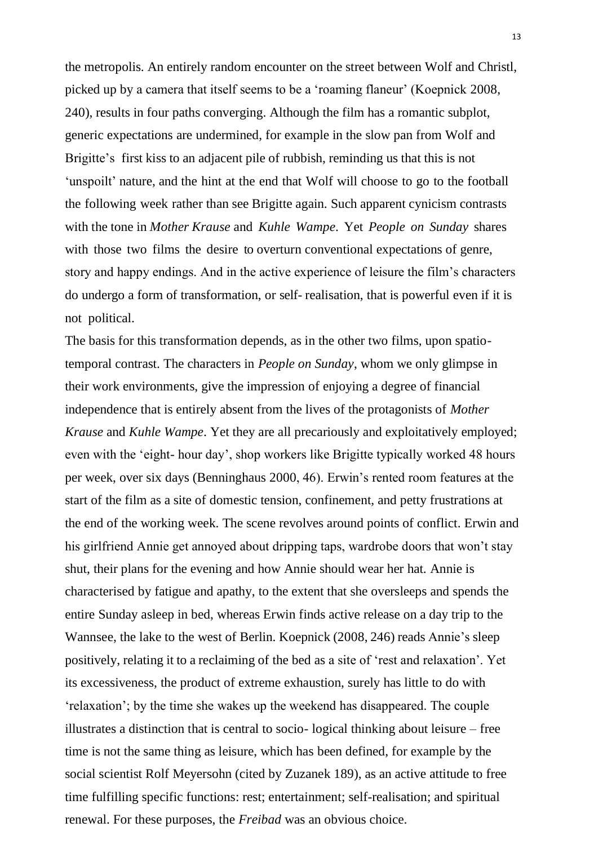the metropolis. An entirely random encounter on the street between Wolf and Christl, picked up by a camera that itself seems to be a 'roaming flaneur' (Koepnick [2008,](#page-27-0) 240), results in four paths converging. Although the film has a romantic subplot, generic expectations are undermined, for example in the slow pan from Wolf and Brigitte's first kiss to an adjacent pile of rubbish, reminding us that this is not 'unspoilt' nature, and the hint at the end that Wolf will choose to go to the football the following week rather than see Brigitte again. Such apparent cynicism contrasts with the tone in *Mother Krause* and *Kuhle Wampe*. Yet *People on Sunday* shares with those two films the desire to overturn conventional expectations of genre, story and happy endings. And in the active experience of leisure the film's characters do undergo a form of transformation, or self- realisation, that is powerful even if it is not political.

<span id="page-12-0"></span>The basis for this transformation depends, as in the other two films, upon spatiotemporal contrast. The characters in *People on Sunday*, whom we only glimpse in their work environments, give the impression of enjoying a degree of financial independence that is entirely absent from the lives of the protagonists of *Mother Krause* and *Kuhle Wampe*. Yet they are all precariously and exploitatively employed; even with the 'eight- hour day', shop workers like Brigitte typically worked 48 hours per week, over six days (Benninghaus [2000,](#page-25-2) 46). Erwin's rented room features at the start of the film as a site of domestic tension, confinement, and petty frustrations at the end of the working week. The scene revolves around points of conflict. Erwin and his girlfriend Annie get annoyed about dripping taps, wardrobe doors that won't stay shut, their plans for the evening and how Annie should wear her hat. Annie is characterised by fatigue and apathy, to the extent that she oversleeps and spends the entire Sunday asleep in bed, whereas Erwin finds active release on a day trip to the Wannsee, the lake to the west of Berlin. Koepnick [\(2008,](#page-27-0) 246) reads Annie's sleep positively, relating it to a reclaiming of the bed as a site of 'rest and relaxation'. Yet its excessiveness, the product of extreme exhaustion, surely has little to do with 'relaxation'; by the time she wakes up the weekend has disappeared. The couple illustrates a distinction that is central to socio- logical thinking about leisure – free time is not the same thing as leisure, which has been defined, for example by the social scientist Rolf Meyersohn (cited by Zuzanek 189), as an active attitude to free time fulfilling specific functions: rest; entertainment; self-realisation; and spiritual renewal. For these purposes, the *Freibad* was an obvious choice.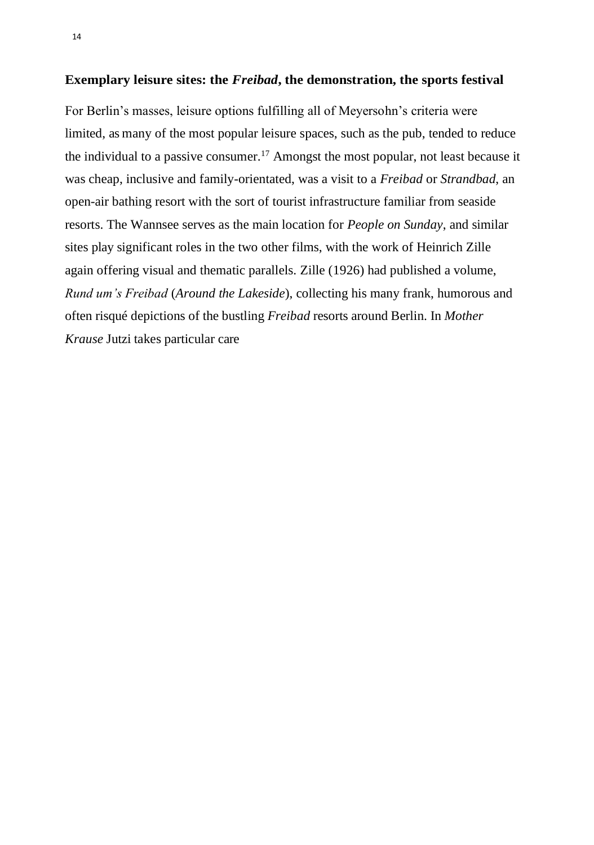#### **Exemplary leisure sites: the** *Freibad***, the demonstration, the sports festival**

<span id="page-13-0"></span>For Berlin's masses, leisure options fulfilling all of Meyersohn's criteria were limited, as many of the most popular leisure spaces, such as the pub, tended to reduce the individual to a passive consumer.[17](#page-25-3) Amongst the most popular, not least because it was cheap, inclusive and family-orientated, was a visit to a *Freibad* or *Strandbad*, an open-air bathing resort with the sort of tourist infrastructure familiar from seaside resorts. The Wannsee serves as the main location for *People on Sunday*, and similar sites play significant roles in the two other films, with the work of Heinrich Zille again offering visual and thematic parallels. Zille [\(1926\)](#page-28-3) had published a volume, *Rund um's Freibad* (*Around the Lakeside*), collecting his many frank, humorous and often risqué depictions of the bustling *Freibad* resorts around Berlin. In *Mother Krause* Jutzi takes particular care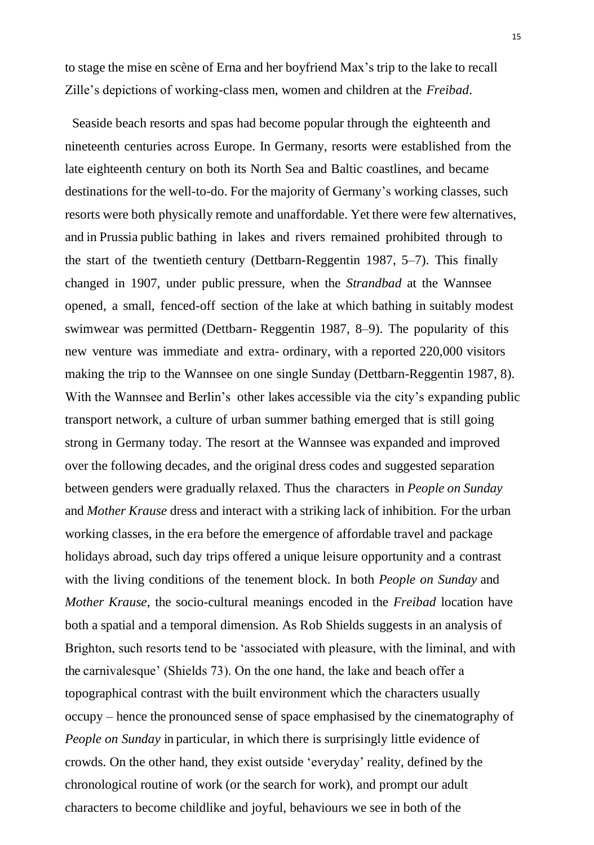to stage the mise en scène of Erna and her boyfriend Max's trip to the lake to recall Zille's depictions of working-class men, women and children at the *Freibad*.

Seaside beach resorts and spas had become popular through the eighteenth and nineteenth centuries across Europe. In Germany, resorts were established from the late eighteenth century on both its North Sea and Baltic coastlines, and became destinations for the well-to-do. For the majority of Germany's working classes, such resorts were both physically remote and unaffordable. Yet there were few alternatives, and in Prussia public bathing in lakes and rivers remained prohibited through to the start of the twentieth century (Dettbarn-Reggentin [1987,](#page-25-4) 5–7). This finally changed in 1907, under public pressure, when the *Strandbad* at the Wannsee opened, a small, fenced-off section of the lake at which bathing in suitably modest swimwear was permitted (Dettbarn- Reggentin [1987,](#page-25-4) 8–9). The popularity of this new venture was immediate and extra- ordinary, with a reported 220,000 visitors making the trip to the Wannsee on one single Sunday (Dettbarn-Reggentin [1987,](#page-25-4) 8). With the Wannsee and Berlin's other lakes accessible via the city's expanding public transport network, a culture of urban summer bathing emerged that is still going strong in Germany today. The resort at the Wannsee was expanded and improved over the following decades, and the original dress codes and suggested separation between genders were gradually relaxed. Thus the characters in *People on Sunday* and *Mother Krause* dress and interact with a striking lack of inhibition. For the urban working classes, in the era before the emergence of affordable travel and package holidays abroad, such day trips offered a unique leisure opportunity and a contrast with the living conditions of the tenement block. In both *People on Sunday* and *Mother Krause*, the socio-cultural meanings encoded in the *Freibad* location have both a spatial and a temporal dimension. As Rob Shields suggests in an analysis of Brighton, such resorts tend to be 'associated with pleasure, with the liminal, and with the carnivalesque' (Shields 73). On the one hand, the lake and beach offer a topographical contrast with the built environment which the characters usually occupy – hence the pronounced sense of space emphasised by the cinematography of *People on Sunday* in particular, in which there is surprisingly little evidence of crowds. On the other hand, they exist outside 'everyday' reality, defined by the chronological routine of work (or the search for work), and prompt our adult characters to become childlike and joyful, behaviours we see in both of the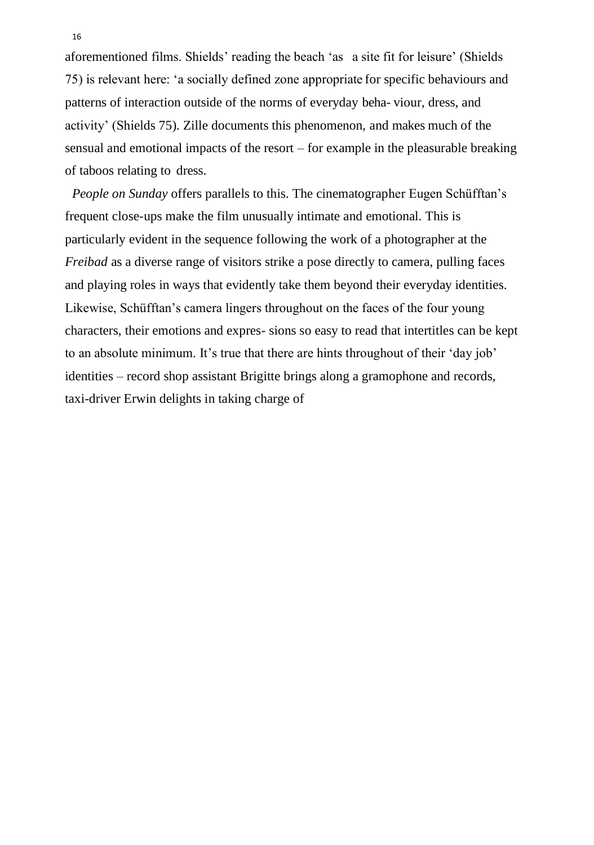aforementioned films. Shields' reading the beach 'as a site fit for leisure' (Shields 75) is relevant here: 'a socially defined zone appropriate for specific behaviours and patterns of interaction outside of the norms of everyday beha- viour, dress, and activity' (Shields 75). Zille documents this phenomenon, and makes much of the sensual and emotional impacts of the resort – for example in the pleasurable breaking of taboos relating to dress.

*People on Sunday* offers parallels to this. The cinematographer Eugen Schüfftan's frequent close-ups make the film unusually intimate and emotional. This is particularly evident in the sequence following the work of a photographer at the *Freibad* as a diverse range of visitors strike a pose directly to camera, pulling faces and playing roles in ways that evidently take them beyond their everyday identities. Likewise, Schüfftan's camera lingers throughout on the faces of the four young characters, their emotions and expres- sions so easy to read that intertitles can be kept to an absolute minimum. It's true that there are hints throughout of their 'day job' identities – record shop assistant Brigitte brings along a gramophone and records, taxi-driver Erwin delights in taking charge of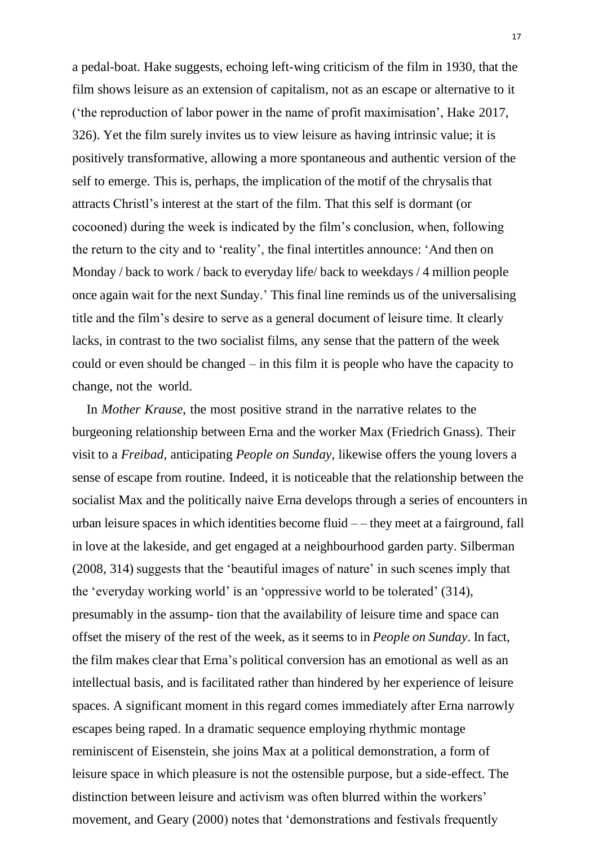a pedal-boat. Hake suggests, echoing left-wing criticism of the film in 1930, that the film shows leisure as an extension of capitalism, not as an escape or alternative to it ('the reproduction of labor power in the name of profit maximisation', Hake [2017,](#page-26-1) 326). Yet the film surely invites us to view leisure as having intrinsic value; it is positively transformative, allowing a more spontaneous and authentic version of the self to emerge. This is, perhaps, the implication of the motif of the chrysalis that attracts Christl's interest at the start of the film. That this self is dormant (or cocooned) during the week is indicated by the film's conclusion, when, following the return to the city and to 'reality', the final intertitles announce: 'And then on Monday / back to work / back to everyday life/ back to weekdays / 4 million people once again wait for the next Sunday.' This final line reminds us of the universalising title and the film's desire to serve as a general document of leisure time. It clearly lacks, in contrast to the two socialist films, any sense that the pattern of the week could or even should be changed – in this film it is people who have the capacity to change, not the world.

In *Mother Krause*, the most positive strand in the narrative relates to the burgeoning relationship between Erna and the worker Max (Friedrich Gnass). Their visit to a *Freibad*, anticipating *People on Sunday*, likewise offers the young lovers a sense of escape from routine. Indeed, it is noticeable that the relationship between the socialist Max and the politically naive Erna develops through a series of encounters in urban leisure spaces in which identities become fluid  $-$  – they meet at a fairground, fall in love at the lakeside, and get engaged at a neighbourhood garden party. Silberman [\(2008,](#page-28-0) 314) suggests that the 'beautiful images of nature' in such scenes imply that the 'everyday working world' is an 'oppressive world to be tolerated' (314), presumably in the assump- tion that the availability of leisure time and space can offset the misery of the rest of the week, as it seems to in *People on Sunday*. In fact, the film makes clear that Erna's political conversion has an emotional as well as an intellectual basis, and is facilitated rather than hindered by her experience of leisure spaces. A significant moment in this regard comes immediately after Erna narrowly escapes being raped. In a dramatic sequence employing rhythmic montage reminiscent of Eisenstein, she joins Max at a political demonstration, a form of leisure space in which pleasure is not the ostensible purpose, but a side-effect. The distinction between leisure and activism was often blurred within the workers' movement, and Geary [\(2000\)](#page-26-7) notes that 'demonstrations and festivals frequently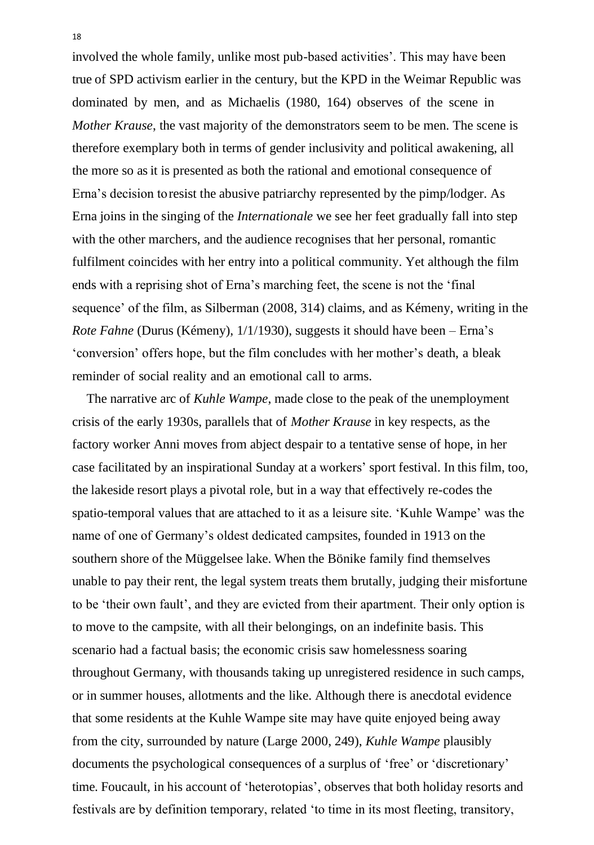involved the whole family, unlike most pub-based activities'. This may have been true of SPD activism earlier in the century, but the KPD in the Weimar Republic was dominated by men, and as Michaelis [\(1980,](#page-27-10) 164) observes of the scene in *Mother Krause*, the vast majority of the demonstrators seem to be men. The scene is therefore exemplary both in terms of gender inclusivity and political awakening, all the more so as it is presented as both the rational and emotional consequence of Erna's decision toresist the abusive patriarchy represented by the pimp/lodger. As Erna joins in the singing of the *Internationale* we see her feet gradually fall into step with the other marchers, and the audience recognises that her personal, romantic fulfilment coincides with her entry into a political community. Yet although the film ends with a reprising shot of Erna's marching feet, the scene is not the 'final sequence' of the film, as Silberman [\(2008,](#page-28-0) 314) claims, and as Kémeny, writing in the *Rote Fahne* (Durus (Kémeny), 1/1[/1930\)](#page-26-3), suggests it should have been – Erna's 'conversion' offers hope, but the film concludes with her mother's death, a bleak reminder of social reality and an emotional call to arms.

<span id="page-17-0"></span>The narrative arc of *Kuhle Wampe*, made close to the peak of the unemployment crisis of the early 1930s, parallels that of *Mother Krause* in key respects, as the factory worker Anni moves from abject despair to a tentative sense of hope, in her case facilitated by an inspirational Sunday at a workers' sport festival. In this film, too, the lakeside resort plays a pivotal role, but in a way that effectively re-codes the spatio-temporal values that are attached to it as a leisure site. 'Kuhle Wampe' was the name of one of Germany's oldest dedicated campsites, founded in 1913 on the southern shore of the Müggelsee lake. When the Bönike family find themselves unable to pay their rent, the legal system treats them brutally, judging their misfortune to be 'their own fault', and they are evicted from their apartment. Their only option is to move to the campsite, with all their belongings, on an indefinite basis. This scenario had a factual basis; the economic crisis saw homelessness soaring throughout Germany, with thousands taking up unregistered residence in such camps, or in summer houses, allotments and the like. Although there is anecdotal evidence that some residents at the Kuhle Wampe site may have quite enjoyed being away from the city, surrounded by nature (Large [2000,](#page-27-7) 249), *Kuhle Wampe* plausibly documents the psychological consequences of a surplus of 'free' or 'discretionary' time. Foucault, in his account of 'heterotopias', observes that both holiday resorts and festivals are by definition temporary, related 'to time in its most fleeting, transitory,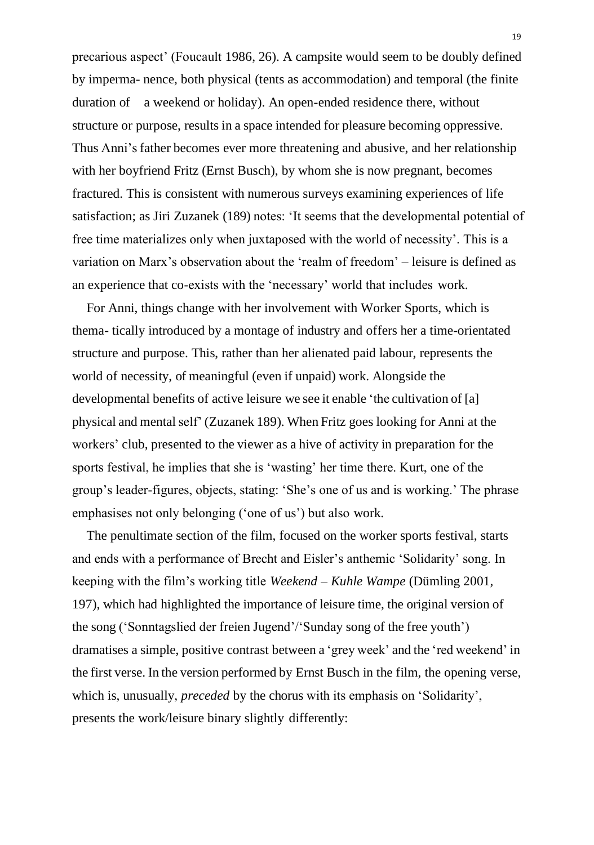precarious aspect' (Foucault [1986,](#page-26-11) 26). A campsite would seem to be doubly defined by imperma- nence, both physical (tents as accommodation) and temporal (the finite duration of a weekend or holiday). An open-ended residence there, without structure or purpose, results in a space intended for pleasure becoming oppressive. Thus Anni's father becomes ever more threatening and abusive, and her relationship with her boyfriend Fritz (Ernst Busch), by whom she is now pregnant, becomes fractured. This is consistent with numerous surveys examining experiences of life satisfaction; as Jiri Zuzanek (189) notes: 'It seems that the developmental potential of free time materializes only when juxtaposed with the world of necessity'. This is a variation on Marx's observation about the 'realm of freedom' – leisure is defined as an experience that co-exists with the 'necessary' world that includes work.

For Anni, things change with her involvement with Worker Sports, which is thema- tically introduced by a montage of industry and offers her a time-orientated structure and purpose. This, rather than her alienated paid labour, represents the world of necessity, of meaningful (even if unpaid) work. Alongside the developmental benefits of active leisure we see it enable 'the cultivation of [a] physical and mental self' (Zuzanek 189). When Fritz goes looking for Anni at the workers' club, presented to the viewer as a hive of activity in preparation for the sports festival, he implies that she is 'wasting' her time there. Kurt, one of the group's leader-figures, objects, stating: 'She's one of us and is working.' The phrase emphasises not only belonging ('one of us') but also work.

<span id="page-18-0"></span>The penultimate section of the film, focused on the worker sports festival, starts and ends with a performance of Brecht and Eisler's anthemic 'Solidarity' song. In keeping with the film's working title *Weekend – Kuhle Wampe* (Dümling [2001,](#page-25-5) 197), which had highlighted the importance of leisure time, the original version of the song ('Sonntagslied der freien Jugend'/'Sunday song of the free youth') dramatises a simple, positive contrast between a 'grey week' and the 'red weekend' in the first verse. In the version performed by Ernst Busch in the film, the opening verse, which is, unusually, *preceded* by the chorus with its emphasis on 'Solidarity', presents the work/leisure binary slightly differently: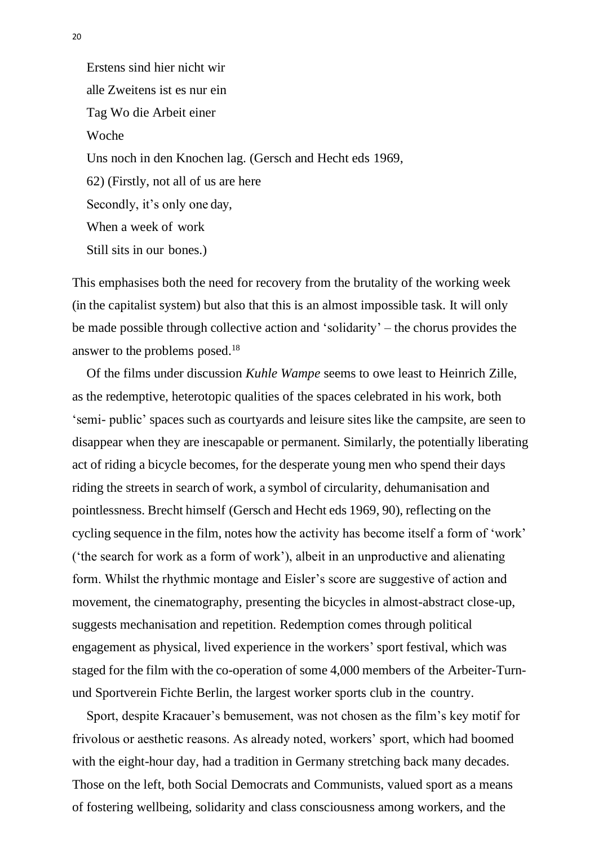Erstens sind hier nicht wir alle Zweitens ist es nur ein Tag Wo die Arbeit einer Woche Uns noch in den Knochen lag. (Gersch and Hecht eds [1969,](#page-26-5) 62) (Firstly, not all of us are here Secondly, it's only one day, When a week of work Still sits in our bones.)

This emphasises both the need for recovery from the brutality of the working week (in the capitalist system) but also that this is an almost impossible task. It will only be made possible through collective action and 'solidarity' – the chorus provides the answer to the problems posed.[18](#page-25-6)

Of the films under discussion *Kuhle Wampe* seems to owe least to Heinrich Zille, as the redemptive, heterotopic qualities of the spaces celebrated in his work, both 'semi- public' spaces such as courtyards and leisure sites like the campsite, are seen to disappear when they are inescapable or permanent. Similarly, the potentially liberating act of riding a bicycle becomes, for the desperate young men who spend their days riding the streets in search of work, a symbol of circularity, dehumanisation and pointlessness. Brecht himself (Gersch and Hecht eds [1969,](#page-26-5) 90), reflecting on the cycling sequence in the film, notes how the activity has become itself a form of 'work' ('the search for work as a form of work'), albeit in an unproductive and alienating form. Whilst the rhythmic montage and Eisler's score are suggestive of action and movement, the cinematography, presenting the bicycles in almost-abstract close-up, suggests mechanisation and repetition. Redemption comes through political engagement as physical, lived experience in the workers' sport festival, which was staged for the film with the co-operation of some 4,000 members of the Arbeiter-Turnund Sportverein Fichte Berlin, the largest worker sports club in the country.

Sport, despite Kracauer's bemusement, was not chosen as the film's key motif for frivolous or aesthetic reasons. As already noted, workers' sport, which had boomed with the eight-hour day, had a tradition in Germany stretching back many decades. Those on the left, both Social Democrats and Communists, valued sport as a means of fostering wellbeing, solidarity and class consciousness among workers, and the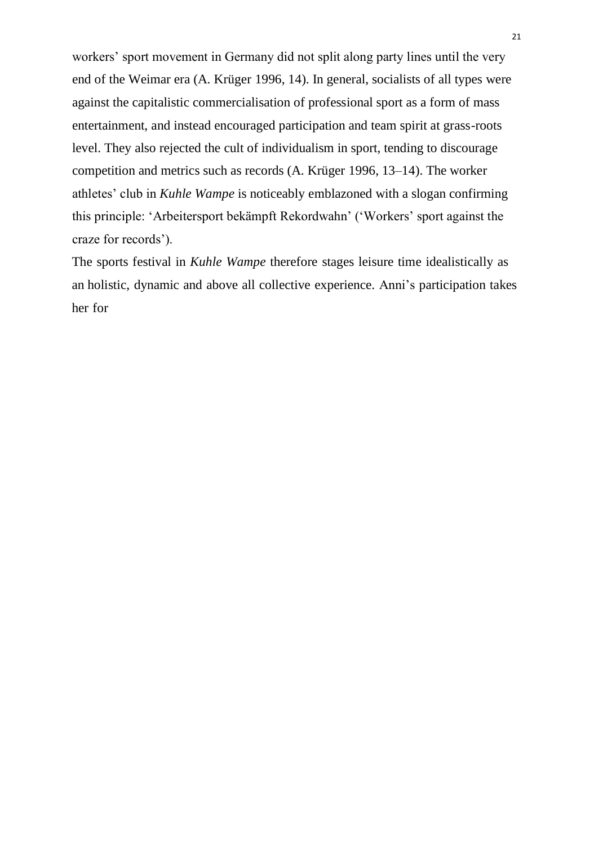<span id="page-20-0"></span>workers' sport movement in Germany did not split along party lines until the very end of the Weimar era (A. Krüger [1996,](#page-27-11) 14). In general, socialists of all types were against the capitalistic commercialisation of professional sport as a form of mass entertainment, and instead encouraged participation and team spirit at grass-roots level. They also rejected the cult of individualism in sport, tending to discourage competition and metrics such as records (A. Krüger [1996,](#page-27-11) 13–14). The worker athletes' club in *Kuhle Wampe* is noticeably emblazoned with a slogan confirming this principle: 'Arbeitersport bekämpft Rekordwahn' ('Workers' sport against the craze for records').

The sports festival in *Kuhle Wampe* therefore stages leisure time idealistically as an holistic, dynamic and above all collective experience. Anni's participation takes her for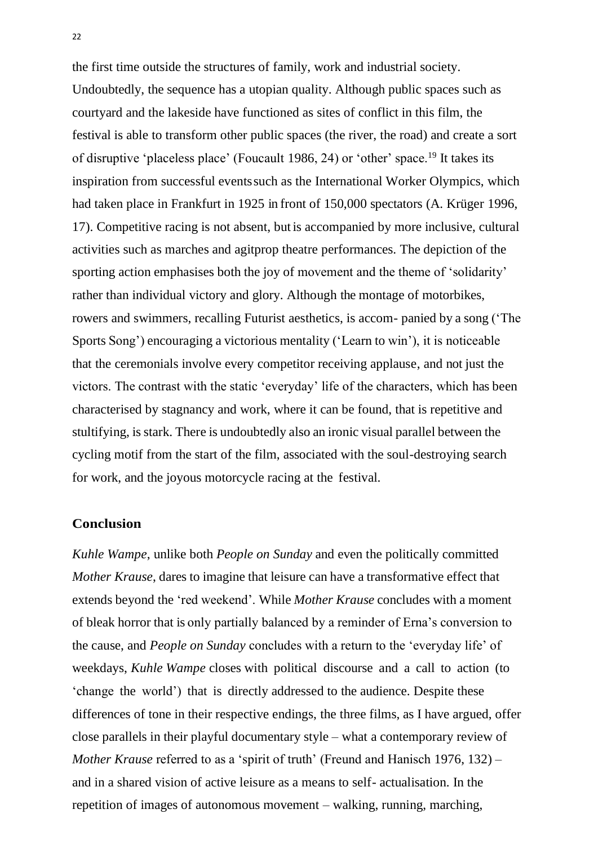the first time outside the structures of family, work and industrial society. Undoubtedly, the sequence has a utopian quality. Although public spaces such as courtyard and the lakeside have functioned as sites of conflict in this film, the festival is able to transform other public spaces (the river, the road) and create a sort of disruptive 'placeless place' (Foucault [1986,](#page-26-11) 24) or 'other' space.[19](#page-25-7) It takes its inspiration from successful eventssuch as the International Worker Olympics, which had taken place in Frankfurt in 1925 in front of 150,000 spectators (A. Krüger [1996,](#page-27-11) 17). Competitive racing is not absent, but is accompanied by more inclusive, cultural activities such as marches and agitprop theatre performances. The depiction of the sporting action emphasises both the joy of movement and the theme of 'solidarity' rather than individual victory and glory. Although the montage of motorbikes, rowers and swimmers, recalling Futurist aesthetics, is accom- panied by a song ('The Sports Song') encouraging a victorious mentality ('Learn to win'), it is noticeable that the ceremonials involve every competitor receiving applause, and not just the victors. The contrast with the static 'everyday' life of the characters, which has been characterised by stagnancy and work, where it can be found, that is repetitive and stultifying, is stark. There is undoubtedly also an ironic visual parallel between the cycling motif from the start of the film, associated with the soul-destroying search for work, and the joyous motorcycle racing at the festival.

## **Conclusion**

*Kuhle Wampe*, unlike both *People on Sunday* and even the politically committed *Mother Krause*, dares to imagine that leisure can have a transformative effect that extends beyond the 'red weekend'. While *Mother Krause* concludes with a moment of bleak horror that is only partially balanced by a reminder of Erna's conversion to the cause, and *People on Sunday* concludes with a return to the 'everyday life' of weekdays, *Kuhle Wampe* closes with political discourse and a call to action (to 'change the world') that is directly addressed to the audience. Despite these differences of tone in their respective endings, the three films, as I have argued, offer close parallels in their playful documentary style – what a contemporary review of *Mother Krause* referred to as a 'spirit of truth' (Freund and Hanisch [1976,](#page-26-2) 132) – and in a shared vision of active leisure as a means to self- actualisation. In the repetition of images of autonomous movement – walking, running, marching,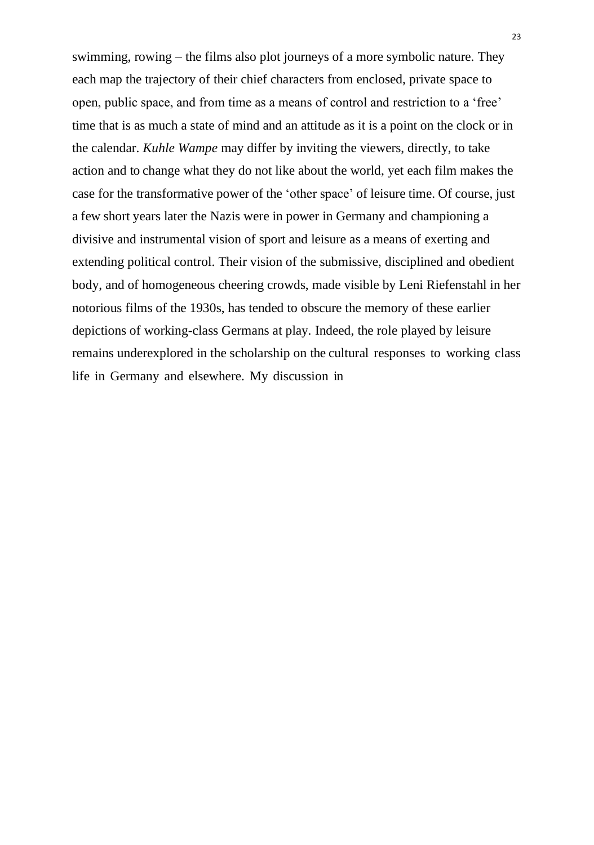swimming, rowing – the films also plot journeys of a more symbolic nature. They each map the trajectory of their chief characters from enclosed, private space to open, public space, and from time as a means of control and restriction to a 'free' time that is as much a state of mind and an attitude as it is a point on the clock or in the calendar. *Kuhle Wampe* may differ by inviting the viewers, directly, to take action and to change what they do not like about the world, yet each film makes the case for the transformative power of the 'other space' of leisure time. Of course, just a few short years later the Nazis were in power in Germany and championing a divisive and instrumental vision of sport and leisure as a means of exerting and extending political control. Their vision of the submissive, disciplined and obedient body, and of homogeneous cheering crowds, made visible by Leni Riefenstahl in her notorious films of the 1930s, has tended to obscure the memory of these earlier depictions of working-class Germans at play. Indeed, the role played by leisure remains underexplored in the scholarship on the cultural responses to working class life in Germany and elsewhere. My discussion in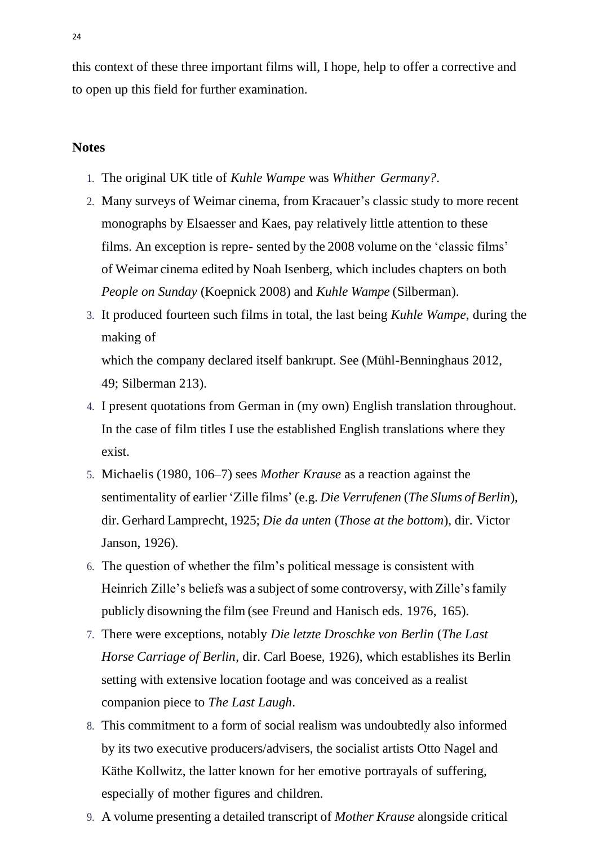this context of these three important films will, I hope, help to offer a corrective and to open up this field for further examination.

## <span id="page-23-0"></span>**Notes**

- 1. The original UK title of *Kuhle Wampe* was *Whither Germany?*.
- 2. Many surveys of Weimar cinema, from Kracauer's classic study to more recent monographs by Elsaesser and Kaes, pay relatively little attention to these films. An exception is repre- sented by the 2008 volume on the 'classic films' of Weimar cinema edited by Noah Isenberg, which includes chapters on both *People on Sunday* (Koepnick [2008\)](#page-27-0) and *Kuhle Wampe* (Silberman).
- <span id="page-23-1"></span>3. It produced fourteen such films in total, the last being *Kuhle Wampe*, during the making of which the company declared itself bankrupt. See (Mühl-Benninghaus [2012,](#page-27-2) 49; Silberman 213).
- <span id="page-23-3"></span><span id="page-23-2"></span>4. I present quotations from German in (my own) English translation throughout. In the case of film titles I use the established English translations where they exist.
- <span id="page-23-4"></span>5. Michaelis [\(1980,](#page-27-10) 106–7) sees *Mother Krause* as a reaction against the sentimentality of earlier 'Zille films' (e.g. *Die Verrufenen* (*The Slums of Berlin*), dir. Gerhard Lamprecht, 1925; *Die da unten* (*Those at the bottom*), dir. Victor Janson, 1926).
- 6. The question of whether the film's political message is consistent with Heinrich Zille's beliefs was a subject of some controversy, with Zille's family publicly disowning the film (see Freund and Hanisch eds. [1976,](#page-26-2) 165).
- <span id="page-23-6"></span><span id="page-23-5"></span>7. There were exceptions, notably *Die letzte Droschke von Berlin* (*The Last Horse Carriage of Berlin*, dir. Carl Boese, 1926), which establishes its Berlin setting with extensive location footage and was conceived as a realist companion piece to *The Last Laugh*.
- <span id="page-23-7"></span>8. This commitment to a form of social realism was undoubtedly also informed by its two executive producers/advisers, the socialist artists Otto Nagel and Käthe Kollwitz, the latter known for her emotive portrayals of suffering, especially of mother figures and children.
- 9. A volume presenting a detailed transcript of *Mother Krause* alongside critical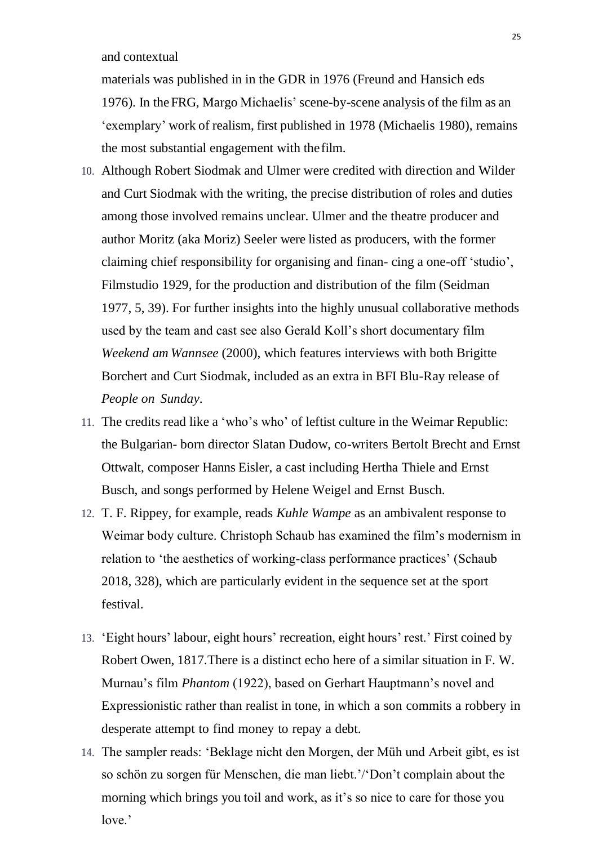and contextual

<span id="page-24-0"></span>materials was published in in the GDR in 1976 (Freund and Hansich eds [1976\)](#page-26-2). In theFRG, Margo Michaelis' scene-by-scene analysis of the film as an 'exemplary' work of realism, first published in 1978 (Michaelis [1980\)](#page-27-10), remains the most substantial engagement with thefilm.

- <span id="page-24-8"></span>10. Although Robert Siodmak and Ulmer were credited with direction and Wilder and Curt Siodmak with the writing, the precise distribution of roles and duties among those involved remains unclear. Ulmer and the theatre producer and author Moritz (aka Moriz) Seeler were listed as producers, with the former claiming chief responsibility for organising and finan- cing a one-off 'studio', Filmstudio 1929, for the production and distribution of the film (Seidman [1977,](#page-28-4) 5, 39). For further insights into the highly unusual collaborative methods used by the team and cast see also Gerald Koll's short documentary film *Weekend am Wannsee* (2000), which features interviews with both Brigitte Borchert and Curt Siodmak, included as an extra in BFI Blu-Ray release of *People on Sunday*.
- <span id="page-24-1"></span>11. The credits read like a 'who's who' of leftist culture in the Weimar Republic: the Bulgarian- born director Slatan Dudow, co-writers Bertolt Brecht and Ernst Ottwalt, composer Hanns Eisler, a cast including Hertha Thiele and Ernst Busch, and songs performed by Helene Weigel and Ernst Busch.
- <span id="page-24-7"></span><span id="page-24-2"></span>12. T. F. Rippey, for example, reads *Kuhle Wampe* as an ambivalent response to Weimar body culture. Christoph Schaub has examined the film's modernism in relation to 'the aesthetics of working-class performance practices' (Schaub [2018,](#page-28-5) 328), which are particularly evident in the sequence set at the sport festival.
- <span id="page-24-4"></span><span id="page-24-3"></span>13. 'Eight hours' labour, eight hours' recreation, eight hours' rest.' First coined by Robert Owen, 1817.There is a distinct echo here of a similar situation in F. W. Murnau's film *Phantom* (1922), based on Gerhart Hauptmann's novel and Expressionistic rather than realist in tone, in which a son commits a robbery in desperate attempt to find money to repay a debt.
- <span id="page-24-6"></span><span id="page-24-5"></span>14. The sampler reads: 'Beklage nicht den Morgen, der Müh und Arbeit gibt, es ist so schön zu sorgen für Menschen, die man liebt.'/'Don't complain about the morning which brings you toil and work, as it's so nice to care for those you love.'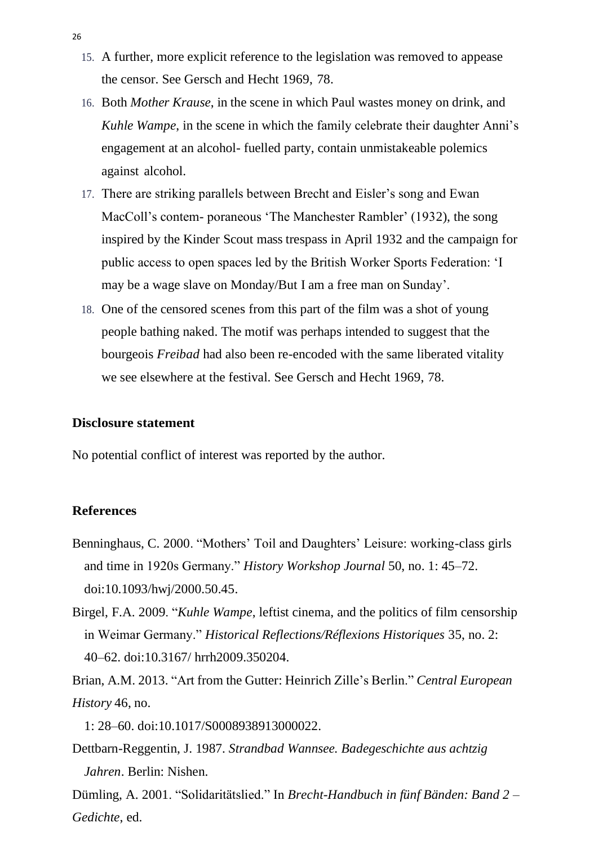- <span id="page-25-3"></span>15. A further, more explicit reference to the legislation was removed to appease the censor. See Gersch and Hecht [1969,](#page-26-5) 78.
- <span id="page-25-6"></span>16. Both *Mother Krause*, in the scene in which Paul wastes money on drink, and *Kuhle Wampe*, in the scene in which the family celebrate their daughter Anni's engagement at an alcohol- fuelled party, contain unmistakeable polemics against alcohol.
- 17. There are striking parallels between Brecht and Eisler's song and Ewan MacColl's contem- poraneous 'The Manchester Rambler' (1932), the song inspired by the Kinder Scout mass trespass in April 1932 and the campaign for public access to open spaces led by the British Worker Sports Federation: 'I may be a wage slave on Monday/But I am a free man on Sunday'.
- <span id="page-25-7"></span>18. One of the censored scenes from this part of the film was a shot of young people bathing naked. The motif was perhaps intended to suggest that the bourgeois *Freibad* had also been re-encoded with the same liberated vitality we see elsewhere at the festival. See Gersch and Hecht [1969,](#page-26-5) 78.

### **Disclosure statement**

No potential conflict of interest was reported by the author.

## **References**

- <span id="page-25-2"></span><span id="page-25-0"></span>Benninghaus, C. [2000.](#page-12-0) "Mothers' Toil and Daughters' Leisure: working-class girls and time in 1920s Germany." *History Workshop Journal* 50, no. 1: 45–72. doi[:10.1093/hwj/2000.50.45.](https://doi.org/10.1093/hwj/2000.50.45)
- Birgel, F.A. [2009.](#page-3-0) "*Kuhle Wampe*, leftist cinema, and the politics of film censorship in Weimar Germany." *Historical Reflections/Réflexions Historiques* 35, no. 2: 40–62. doi[:10.3167/](https://doi.org/10.3167/hrrh2009.350204) [hrrh2009.350204.](https://doi.org/10.3167/hrrh2009.350204)
- <span id="page-25-1"></span>Brian, A.M. [2013.](#page-9-0) "Art from the Gutter: Heinrich Zille's Berlin." *Central European History* 46, no.

<span id="page-25-5"></span><span id="page-25-4"></span>1: 28–60. doi[:10.1017/S0008938913000022.](https://doi.org/10.1017/S0008938913000022)

Dettbarn-Reggentin, J. 1987. *Strandbad Wannsee. Badegeschichte aus achtzig Jahren*. Berlin: Nishen.

Dümling, A. [2001.](#page-18-0) "Solidaritätslied." In *Brecht-Handbuch in fünf Bänden: Band 2 – Gedichte*, ed.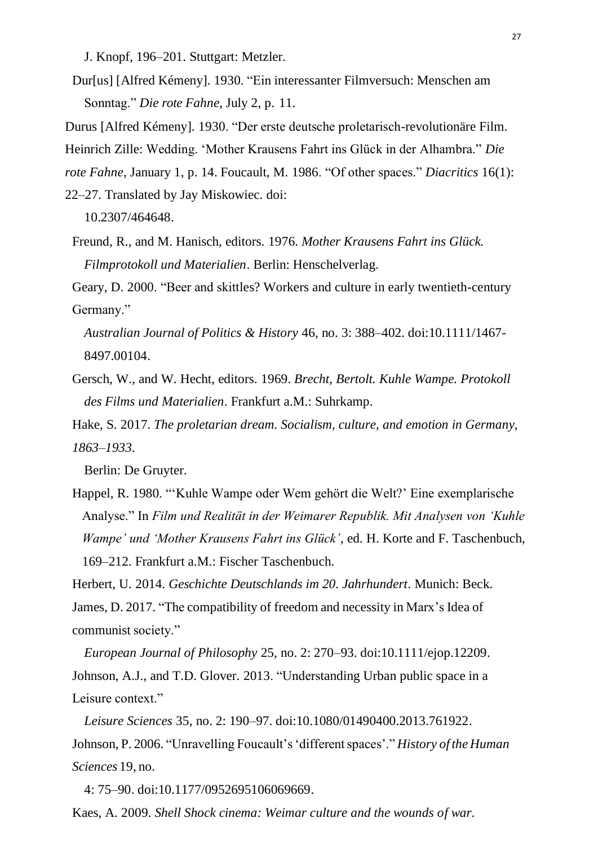<span id="page-26-4"></span><span id="page-26-3"></span>J. Knopf, 196–201. Stuttgart: Metzler.

- Dur[us] [Alfred Kémeny]. [1930.](#page-2-0) "Ein interessanter Filmversuch: Menschen am Sonntag." *Die rote Fahne*, July 2, p. 11.
- Durus [Alfred Kémeny]. [1930.](#page-2-1) "Der erste deutsche proletarisch-revolutionäre Film.

<span id="page-26-11"></span>Heinrich Zille: Wedding. 'Mother Krausens Fahrt ins Glück in der Alhambra." *Die* 

*rote Fahne*, January 1, p. 14. Foucault, M. [1986.](#page-17-0) "Of other spaces." *Diacritics* 16(1):

<span id="page-26-2"></span>22–27. Translated by Jay Miskowiec. doi:

<span id="page-26-7"></span>[10.2307/464648.](https://doi.org/10.2307/464648)

Freund, R., and M. Hanisch, editors. [1976.](#page-1-0) *Mother Krausens Fahrt ins Glück. Filmprotokoll und Materialien*. Berlin: Henschelverlag.

Geary, D. [2000.](#page-5-0) "Beer and skittles? Workers and culture in early twentieth-century Germany."

<span id="page-26-5"></span>*Australian Journal of Politics & History* 46, no. 3: 388–402. doi[:10.1111/1467-](https://doi.org/10.1111/1467-8497.00104) [8497.00104.](https://doi.org/10.1111/1467-8497.00104)

- <span id="page-26-1"></span>Gersch, W., and W. Hecht, editors. [1969.](#page-3-1) *Brecht, Bertolt. Kuhle Wampe. Protokoll des Films und Materialien*. Frankfurt a.M.: Suhrkamp.
- Hake, S. [2017.](#page-1-1) *The proletarian dream. Socialism, culture, and emotion in Germany, 1863–1933*.

Berlin: De Gruyter.

Happel, R. [1980.](#page-3-2) "'Kuhle Wampe oder Wem gehört die Welt?' Eine exemplarische Analyse." In *Film und Realität in der Weimarer Republik. Mit Analysen von 'Kuhle Wampe' und 'Mother Krausens Fahrt ins Glück'*, ed. H. Korte and F. Taschenbuch, 169–212. Frankfurt a.M.: Fischer Taschenbuch.

<span id="page-26-10"></span><span id="page-26-6"></span>Herbert, U. [2014.](#page-10-0) *Geschichte Deutschlands im 20. Jahrhundert*. Munich: Beck. James, D. [2017.](#page-5-1) "The compatibility of freedom and necessity in Marx's Idea of communist society."

<span id="page-26-8"></span>*European Journal of Philosophy* 25, no. 2: 270–93. doi[:10.1111/ejop.12209.](https://doi.org/10.1111/ejop.12209) Johnson, A.J., and T.D. Glover. [2013.](#page-7-0) "Understanding Urban public space in a Leisure context."

<span id="page-26-9"></span>*Leisure Sciences* 35, no. 2: 190–97. doi[:10.1080/01490400.2013.761922.](https://doi.org/10.1080/01490400.2013.761922) Johnson, P. [2006.](#page-7-1) "Unravelling Foucault's'differentspaces'." *History of the Human Sciences* 19, no.

<span id="page-26-0"></span>4: 75–90. doi[:10.1177/0952695106069669.](https://doi.org/10.1177/0952695106069669)

Kaes, A. [2009.](#page-0-0) *Shell Shock cinema: Weimar culture and the wounds of war*.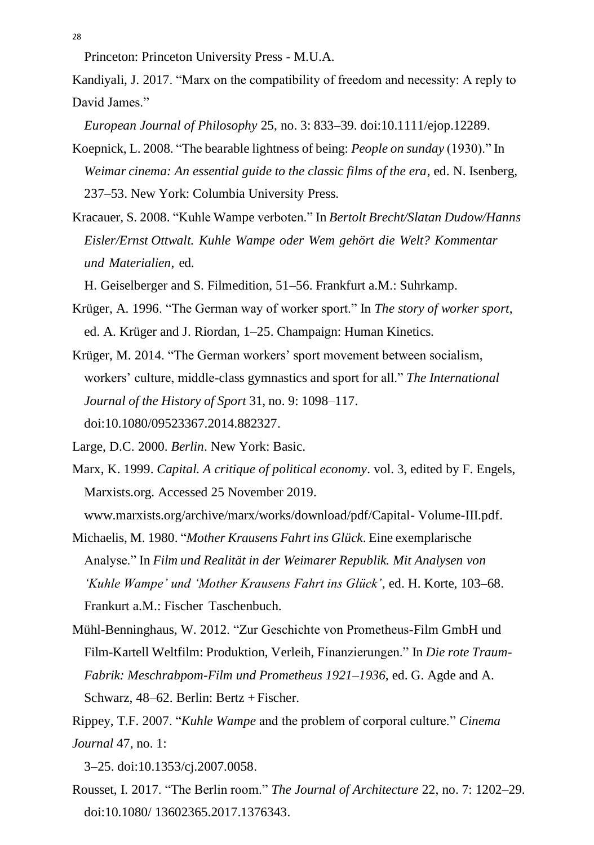<span id="page-27-5"></span>Princeton: Princeton University Press - M.U.A.

Kandiyali, J. [2017.](#page-5-2) "Marx on the compatibility of freedom and necessity: A reply to David James."

<span id="page-27-0"></span>*European Journal of Philosophy* 25, no. 3: 833–39. doi[:10.1111/ejop.12289.](https://doi.org/10.1111/ejop.12289)

- Koepnick, L. [2008.](#page-3-3) "The bearable lightness of being: *People on sunday* (1930)." In *Weimar cinema: An essential guide to the classic films of the era*, ed. N. Isenberg, 237–53. New York: Columbia University Press.
- <span id="page-27-3"></span>Kracauer, S. [2008.](#page-4-0) "Kuhle Wampe verboten." In *Bertolt Brecht/Slatan Dudow/Hanns Eisler/Ernst Ottwalt. Kuhle Wampe oder Wem gehört die Welt? Kommentar und Materialien*, ed.

<span id="page-27-11"></span><span id="page-27-6"></span>H. Geiselberger and S. Filmedition, 51–56. Frankfurt a.M.: Suhrkamp.

- Krüger, A. [1996.](#page-20-0) "The German way of worker sport." In *The story of worker sport*, ed. A. Krüger and J. Riordan, 1–25. Champaign: Human Kinetics.
- <span id="page-27-7"></span>Krüger, M. [2014.](#page-5-3) "The German workers' sport movement between socialism, workers' culture, middle-class gymnastics and sport for all." *The International Journal of the History of Sport* 31, no. 9: 1098–117. doi[:10.1080/09523367.2014.882327.](https://doi.org/10.1080/09523367.2014.882327)
- <span id="page-27-4"></span>Large, D.C. [2000.](#page-6-0) *Berlin*. New York: Basic.
- Marx, K[. 1999.](#page-5-4) *Capital. A critique of political economy*. vol. 3, edited by F. Engels, Marxists.org. Accessed 25 November 2019.

<span id="page-27-10"></span><span id="page-27-2"></span>[www.marxists.org/archive/marx/works/download/pdf/Capital-](http://www.marxists.org/archive/marx/works/download/pdf/Capital-Volume-III.pdf) [Volume-III.pdf.](http://www.marxists.org/archive/marx/works/download/pdf/Capital-Volume-III.pdf)

Michaelis, M. 1980. "*Mother Krausens Fahrt ins Glück*. Eine exemplarische Analyse." In *Film und Realität in der Weimarer Republik. Mit Analysen von 'Kuhle Wampe' und 'Mother Krausens Fahrt ins Glück'*, ed. H. Korte, 103–68. Frankurt a.M.: Fischer Taschenbuch.

- <span id="page-27-9"></span>Mühl-Benninghaus, W. [2012.](#page-3-4) "Zur Geschichte von Prometheus-Film GmbH und Film-Kartell Weltfilm: Produktion, Verleih, Finanzierungen." In *Die rote Traum-Fabrik: Meschrabpom-Film und Prometheus 1921*–*1936*, ed. G. Agde and A. Schwarz, 48–62. Berlin: Bertz + Fischer.
- Rippey, T.F. [2007.](#page-10-1) "*Kuhle Wampe* and the problem of corporal culture." *Cinema Journal* 47, no. 1:

<span id="page-27-8"></span><span id="page-27-1"></span>3–25. doi[:10.1353/cj.2007.0058.](https://doi.org/10.1353/cj.2007.0058)

Rousset, I. [2017.](#page-8-0) "The Berlin room." *The Journal of Architecture* 22, no. 7: 1202–29. doi[:10.1080/](https://doi.org/10.1080/13602365.2017.1376343) [13602365.2017.1376343.](https://doi.org/10.1080/13602365.2017.1376343)